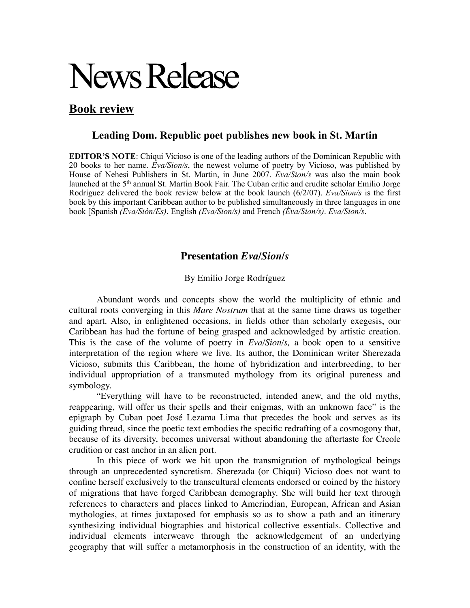## News Release

## **Book review**

## **Leading Dom. Republic poet publishes new book in St. Martin**

**EDITOR'S NOTE**: Chiqui Vicioso is one of the leading authors of the Dominican Republic with 20 books to her name. *Eva/Sion/s*, the newest volume of poetry by Vicioso, was published by House of Nehesi Publishers in St. Martin, in June 2007. *Eva/Sion/s* was also the main book launched at the 5th annual St. Martin Book Fair. The Cuban critic and erudite scholar Emilio Jorge Rodríguez delivered the book review below at the book launch (6/2/07). *Eva/Sion/s* is the first book by this important Caribbean author to be published simultaneously in three languages in one book [Spanish *(Eva/Sión/Es)*, English *(Eva/Sion/s)* and French *(Éva/Sion/s)*. *Eva/Sion/s*.

## **Presentation** *Eva/Sion/s*

By Emilio Jorge Rodríguez

Abundant words and concepts show the world the multiplicity of ethnic and cultural roots converging in this *Mare Nostrum* that at the same time draws us together and apart. Also, in enlightened occasions, in fields other than scholarly exegesis, our Caribbean has had the fortune of being grasped and acknowledged by artistic creation. This is the case of the volume of poetry in *Eva/Sion/s,* a book open to a sensitive interpretation of the region where we live. Its author, the Dominican writer Sherezada Vicioso, submits this Caribbean, the home of hybridization and interbreeding, to her individual appropriation of a transmuted mythology from its original pureness and symbology.

"Everything will have to be reconstructed, intended anew, and the old myths, reappearing, will offer us their spells and their enigmas, with an unknown face" is the epigraph by Cuban poet José Lezama Lima that precedes the book and serves as its guiding thread, since the poetic text embodies the specific redrafting of a cosmogony that, because of its diversity, becomes universal without abandoning the aftertaste for Creole erudition or cast anchor in an alien port.

In this piece of work we hit upon the transmigration of mythological beings through an unprecedented syncretism. Sherezada (or Chiqui) Vicioso does not want to confine herself exclusively to the transcultural elements endorsed or coined by the history of migrations that have forged Caribbean demography. She will build her text through references to characters and places linked to Amerindian, European, African and Asian mythologies, at times juxtaposed for emphasis so as to show a path and an itinerary synthesizing individual biographies and historical collective essentials. Collective and individual elements interweave through the acknowledgement of an underlying geography that will suffer a metamorphosis in the construction of an identity, with the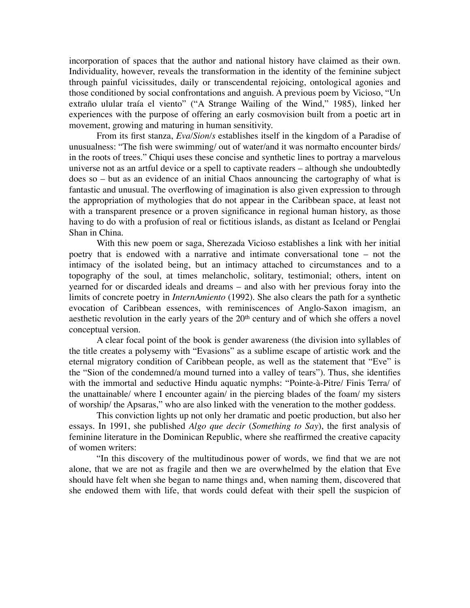incorporation of spaces that the author and national history have claimed as their own. Individuality, however, reveals the transformation in the identity of the feminine subject through painful vicissitudes, daily or transcendental rejoicing, ontological agonies and those conditioned by social confrontations and anguish. A previous poem by Vicioso, "Un extraño ulular traía el viento" ("A Strange Wailing of the Wind," 1985), linked her experiences with the purpose of offering an early cosmovision built from a poetic art in movement, growing and maturing in human sensitivity.

From its first stanza, *Eva/Sion/s* establishes itself in the kingdom of a Paradise of unusualness: "The fish were swimming/ out of water/and it was normałto encounter birds/ in the roots of trees." Chiqui uses these concise and synthetic lines to portray a marvelous universe not as an artful device or a spell to captivate readers – although she undoubtedly does so – but as an evidence of an initial Chaos announcing the cartography of what is fantastic and unusual. The overflowing of imagination is also given expression to through the appropriation of mythologies that do not appear in the Caribbean space, at least not with a transparent presence or a proven significance in regional human history, as those having to do with a profusion of real or fictitious islands, as distant as Iceland or Penglai Shan in China.

With this new poem or saga, Sherezada Vicioso establishes a link with her initial poetry that is endowed with a narrative and intimate conversational tone – not the intimacy of the isolated being, but an intimacy attached to circumstances and to a topography of the soul, at times melancholic, solitary, testimonial; others, intent on yearned for or discarded ideals and dreams – and also with her previous foray into the limits of concrete poetry in *InternAmiento* (1992). She also clears the path for a synthetic evocation of Caribbean essences, with reminiscences of Anglo-Saxon imagism, an aesthetic revolution in the early years of the 20<sup>th</sup> century and of which she offers a novel conceptual version.

A clear focal point of the book is gender awareness (the division into syllables of the title creates a polysemy with "Evasions" as a sublime escape of artistic work and the eternal migratory condition of Caribbean people, as well as the statement that "Eve" is the "Sion of the condemned/a mound turned into a valley of tears"). Thus, she identifies with the immortal and seductive Hindu aquatic nymphs: "Pointe-à-Pitre/ Finis Terra/ of the unattainable/ where I encounter again/ in the piercing blades of the foam/ my sisters of worship/ the Apsaras," who are also linked with the veneration to the mother goddess.

This conviction lights up not only her dramatic and poetic production, but also her essays. In 1991, she published *Algo que decir* (*Something to Say*), the first analysis of feminine literature in the Dominican Republic, where she reaffirmed the creative capacity of women writers:

"In this discovery of the multitudinous power of words, we find that we are not alone, that we are not as fragile and then we are overwhelmed by the elation that Eve should have felt when she began to name things and, when naming them, discovered that she endowed them with life, that words could defeat with their spell the suspicion of